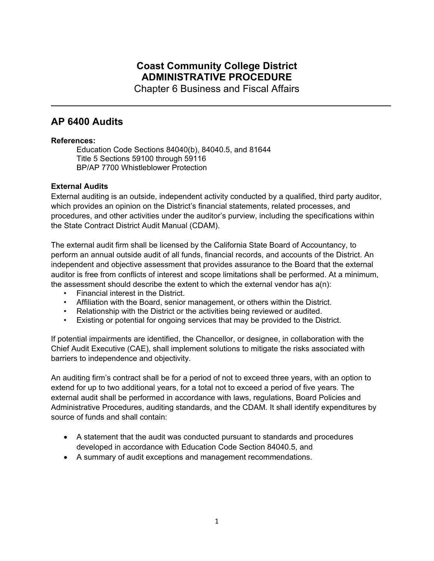# **Coast Community College District ADMINISTRATIVE PROCEDURE**

Chapter 6 Business and Fiscal Affairs

# **AP 6400 Audits**

## **References:**

Education Code Sections 84040(b), 84040.5, and 81644 Title 5 Sections 59100 through 59116 BP/AP 7700 Whistleblower Protection

# **External Audits**

External auditing is an outside, independent activity conducted by a qualified, third party auditor, which provides an opinion on the District's financial statements, related processes, and procedures, and other activities under the auditor's purview, including the specifications within the State Contract District Audit Manual (CDAM).

The external audit firm shall be licensed by the California State Board of Accountancy, to perform an annual outside audit of all funds, financial records, and accounts of the District. An independent and objective assessment that provides assurance to the Board that the external auditor is free from conflicts of interest and scope limitations shall be performed. At a minimum, the assessment should describe the extent to which the external vendor has  $a(n)$ :

- Financial interest in the District.
- Affiliation with the Board, senior management, or others within the District.
- Relationship with the District or the activities being reviewed or audited.
- Existing or potential for ongoing services that may be provided to the District.

If potential impairments are identified, the Chancellor, or designee, in collaboration with the Chief Audit Executive (CAE), shall implement solutions to mitigate the risks associated with barriers to independence and objectivity.

An auditing firm's contract shall be for a period of not to exceed three years, with an option to extend for up to two additional years, for a total not to exceed a period of five years. The external audit shall be performed in accordance with laws, regulations, Board Policies and Administrative Procedures, auditing standards, and the CDAM. It shall identify expenditures by source of funds and shall contain:

- A statement that the audit was conducted pursuant to standards and procedures developed in accordance with Education Code Section 84040.5, and
- A summary of audit exceptions and management recommendations.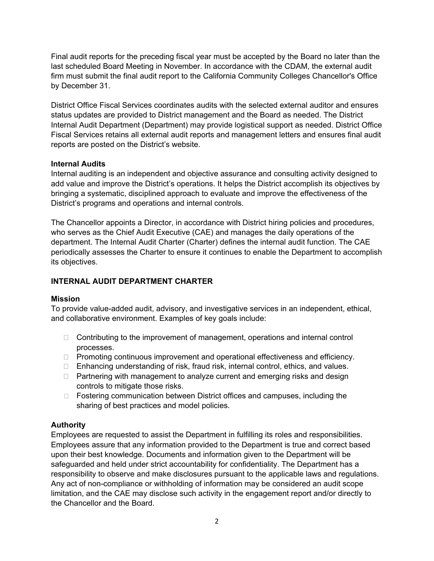Final audit reports for the preceding fiscal year must be accepted by the Board no later than the last scheduled Board Meeting in November. In accordance with the CDAM, the external audit firm must submit the final audit report to the California Community Colleges Chancellor's Office by December 31.

District Office Fiscal Services coordinates audits with the selected external auditor and ensures status updates are provided to District management and the Board as needed. The District Internal Audit Department (Department) may provide logistical support as needed. District Office Fiscal Services retains all external audit reports and management letters and ensures final audit reports are posted on the District's website.

## **Internal Audits**

Internal auditing is an independent and objective assurance and consulting activity designed to add value and improve the District's operations. It helps the District accomplish its objectives by bringing a systematic, disciplined approach to evaluate and improve the effectiveness of the District's programs and operations and internal controls.

The Chancellor appoints a Director, in accordance with District hiring policies and procedures, who serves as the Chief Audit Executive (CAE) and manages the daily operations of the department. The Internal Audit Charter (Charter) defines the internal audit function. The CAE periodically assesses the Charter to ensure it continues to enable the Department to accomplish its objectives.

# **INTERNAL AUDIT DEPARTMENT CHARTER**

## **Mission**

To provide value-added audit, advisory, and investigative services in an independent, ethical, and collaborative environment. Examples of key goals include:

- $\Box$  Contributing to the improvement of management, operations and internal control processes.
- $\Box$  Promoting continuous improvement and operational effectiveness and efficiency.
- □ Enhancing understanding of risk, fraud risk, internal control, ethics, and values.
- $\Box$  Partnering with management to analyze current and emerging risks and design controls to mitigate those risks.
- $\Box$  Fostering communication between District offices and campuses, including the sharing of best practices and model policies.

# **Authority**

Employees are requested to assist the Department in fulfilling its roles and responsibilities. Employees assure that any information provided to the Department is true and correct based upon their best knowledge. Documents and information given to the Department will be safeguarded and held under strict accountability for confidentiality. The Department has a responsibility to observe and make disclosures pursuant to the applicable laws and regulations. Any act of non-compliance or withholding of information may be considered an audit scope limitation, and the CAE may disclose such activity in the engagement report and/or directly to the Chancellor and the Board.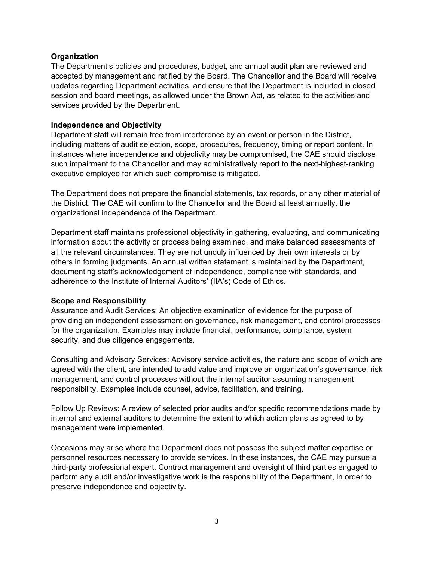#### **Organization**

The Department's policies and procedures, budget, and annual audit plan are reviewed and accepted by management and ratified by the Board. The Chancellor and the Board will receive updates regarding Department activities, and ensure that the Department is included in closed session and board meetings, as allowed under the Brown Act, as related to the activities and services provided by the Department.

#### **Independence and Objectivity**

Department staff will remain free from interference by an event or person in the District, including matters of audit selection, scope, procedures, frequency, timing or report content. In instances where independence and objectivity may be compromised, the CAE should disclose such impairment to the Chancellor and may administratively report to the next-highest-ranking executive employee for which such compromise is mitigated.

The Department does not prepare the financial statements, tax records, or any other material of the District. The CAE will confirm to the Chancellor and the Board at least annually, the organizational independence of the Department.

Department staff maintains professional objectivity in gathering, evaluating, and communicating information about the activity or process being examined, and make balanced assessments of all the relevant circumstances. They are not unduly influenced by their own interests or by others in forming judgments. An annual written statement is maintained by the Department, documenting staff's acknowledgement of independence, compliance with standards, and adherence to the Institute of Internal Auditors' (IIA's) Code of Ethics.

#### **Scope and Responsibility**

Assurance and Audit Services: An objective examination of evidence for the purpose of providing an independent assessment on governance, risk management, and control processes for the organization. Examples may include financial, performance, compliance, system security, and due diligence engagements.

Consulting and Advisory Services: Advisory service activities, the nature and scope of which are agreed with the client, are intended to add value and improve an organization's governance, risk management, and control processes without the internal auditor assuming management responsibility. Examples include counsel, advice, facilitation, and training.

Follow Up Reviews: A review of selected prior audits and/or specific recommendations made by internal and external auditors to determine the extent to which action plans as agreed to by management were implemented.

Occasions may arise where the Department does not possess the subject matter expertise or personnel resources necessary to provide services. In these instances, the CAE may pursue a third-party professional expert. Contract management and oversight of third parties engaged to perform any audit and/or investigative work is the responsibility of the Department, in order to preserve independence and objectivity.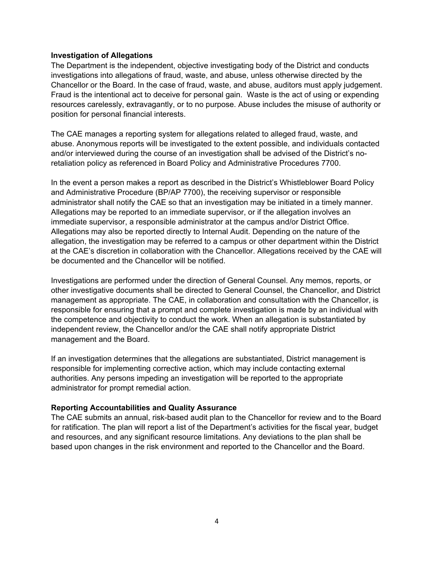#### **Investigation of Allegations**

The Department is the independent, objective investigating body of the District and conducts investigations into allegations of fraud, waste, and abuse, unless otherwise directed by the Chancellor or the Board. In the case of fraud, waste, and abuse, auditors must apply judgement. Fraud is the intentional act to deceive for personal gain. Waste is the act of using or expending resources carelessly, extravagantly, or to no purpose. Abuse includes the misuse of authority or position for personal financial interests.

The CAE manages a reporting system for allegations related to alleged fraud, waste, and abuse. Anonymous reports will be investigated to the extent possible, and individuals contacted and/or interviewed during the course of an investigation shall be advised of the District's noretaliation policy as referenced in Board Policy and Administrative Procedures 7700.

In the event a person makes a report as described in the District's Whistleblower Board Policy and Administrative Procedure (BP/AP 7700), the receiving supervisor or responsible administrator shall notify the CAE so that an investigation may be initiated in a timely manner. Allegations may be reported to an immediate supervisor, or if the allegation involves an immediate supervisor, a responsible administrator at the campus and/or District Office. Allegations may also be reported directly to Internal Audit. Depending on the nature of the allegation, the investigation may be referred to a campus or other department within the District at the CAE's discretion in collaboration with the Chancellor. Allegations received by the CAE will be documented and the Chancellor will be notified.

Investigations are performed under the direction of General Counsel. Any memos, reports, or other investigative documents shall be directed to General Counsel, the Chancellor, and District management as appropriate. The CAE, in collaboration and consultation with the Chancellor, is responsible for ensuring that a prompt and complete investigation is made by an individual with the competence and objectivity to conduct the work. When an allegation is substantiated by independent review, the Chancellor and/or the CAE shall notify appropriate District management and the Board.

If an investigation determines that the allegations are substantiated, District management is responsible for implementing corrective action, which may include contacting external authorities. Any persons impeding an investigation will be reported to the appropriate administrator for prompt remedial action.

## **Reporting Accountabilities and Quality Assurance**

The CAE submits an annual, risk-based audit plan to the Chancellor for review and to the Board for ratification. The plan will report a list of the Department's activities for the fiscal year, budget and resources, and any significant resource limitations. Any deviations to the plan shall be based upon changes in the risk environment and reported to the Chancellor and the Board.